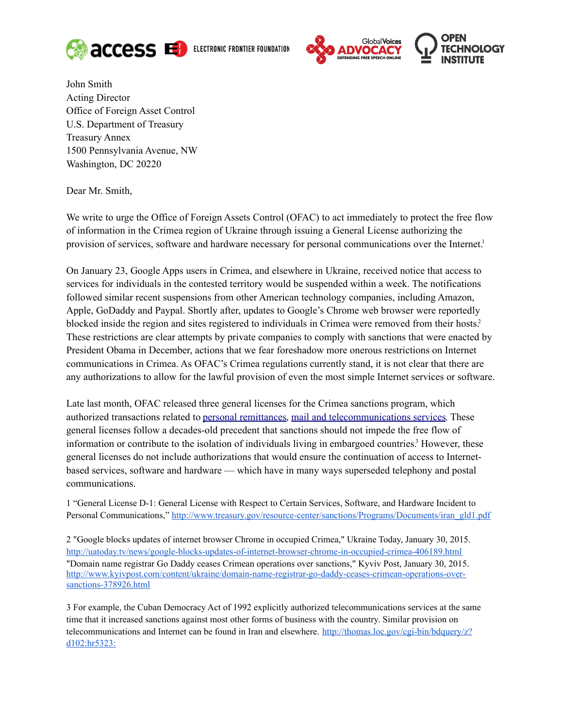

ELECTRONIC FRONTIER FOUNDATION



John Smith Acting Director Office of Foreign Asset Control U.S. Department of Treasury Treasury Annex 1500 Pennsylvania Avenue, NW Washington, DC 20220

Dear Mr. Smith,

We write to urge the Office of Foreign Assets Control (OFAC) to act immediately to protect the free flow of information in the Crimea region of Ukraine through issuing a General License authorizing the provision of services, software and hardware necessary for personal communications over the Internet[.](#page-0-0)<sup>1</sup>

On January 23, Google Apps users in Crimea, and elsewhere in Ukraine, received notice that access to services for individuals in the contested territory would be suspended within a week. The notifications followed similar recent suspensions from other American technology companies, including Amazon, Apple, GoDaddy and Paypal. Shortly after, updates to Google's Chrome web browser were reportedly blocked inside the region and sites registered to individuals in Crimea were removed from their hosts[.](#page-0-1)<sup>2</sup> These restrictions are clear attempts by private companies to comply with sanctions that were enacted by President Obama in December, actions that we fear foreshadow more onerous restrictions on Internet communications in Crimea. As OFAC's Crimea regulations currently stand, it is not clear that there are any authorizations to allow for the lawful provision of even the most simple Internet services or software.

Late last month, OFAC released three general licenses for the Crimea sanctions program, which authorized transactions related to [personal remittances,](http://www.treasury.gov/resource-center/sanctions/Programs/Documents/eo13685_gl_6.pdf) [mail and telecommunications services.](http://www.treasury.gov/resource-center/sanctions/Programs/Documents/eo13685_gl_8.pdf) These general licenses follow a decades-old precedent that sanctions should not impede the free flow of information or contribute to the isolation of individuals living in embargoed countries[.](#page-0-2)<sup>3</sup> However, these general licenses do not include authorizations that would ensure the continuation of access to Internetbased services, software and hardware — which have in many ways superseded telephony and postal communications.

<span id="page-0-0"></span>1<sup>Ta</sup>'General License D-1: General License with Respect to Certain Services, Software, and Hardware Incident to Personal Communications," [http://www.treasury.gov/resource-center/sanctions/Programs/Documents/iran\\_gld1.pdf](http://www.treasury.gov/resource-center/sanctions/Programs/Documents/iran_gld1.pdf)

<span id="page-0-1"></span>2 - "Google blocks updates of internet browser Chrome in occupied Crimea," Ukraine Today, January 30, 2015. <http://uatoday.tv/news/google-blocks-updates-of-internet-browser-chrome-in-occupied-crimea-406189.html> "Domain name registrar Go Daddy ceases Crimean operations over sanctions," Kyviv Post, January 30, 2015. [http://www.kyivpost.com/content/ukraine/domain-name-registrar-go-daddy-ceases-crimean-operations-over](http://www.kyivpost.com/content/ukraine/domain-name-registrar-go-daddy-ceases-crimean-operations-over-sanctions-378926.html)[sanctions-378926.html](http://www.kyivpost.com/content/ukraine/domain-name-registrar-go-daddy-ceases-crimean-operations-over-sanctions-378926.html)

<span id="page-0-2"></span>3 - For example, the Cuban Democracy Act of 1992 explicitly authorized telecommunications services at the same time that it increased sanctions against most other forms of business with the country. Similar provision on telecommunications and Internet can be found in Iran and elsewhere. [http://thomas.loc.gov/cgi-bin/bdquery/z?](http://thomas.loc.gov/cgi-bin/bdquery/z?d102:hr5323:) [d102:hr5323:](http://thomas.loc.gov/cgi-bin/bdquery/z?d102:hr5323:)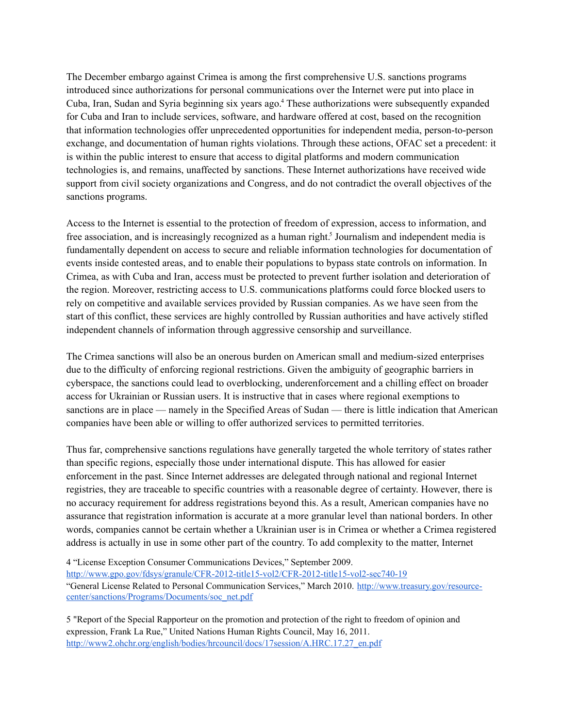The December embargo against Crimea is among the first comprehensive U.S. sanctions programs introduced since authorizations for personal communications over the Internet were put into place in Cuba, Iran, Sudan and Syria beginning six years ago.<sup>[4](#page-1-0)</sup> These authorizations were subsequently expanded for Cuba and Iran to include services, software, and hardware offered at cost, based on the recognition that information technologies offer unprecedented opportunities for independent media, person-to-person exchange, and documentation of human rights violations. Through these actions, OFAC set a precedent: it is within the public interest to ensure that access to digital platforms and modern communication technologies is, and remains, unaffected by sanctions. These Internet authorizations have received wide support from civil society organizations and Congress, and do not contradict the overall objectives of the sanctions programs.

Access to the Internet is essential to the protection of freedom of expression, access to information, and free association, and is increasingly recognized as a human right.<sup>[5](#page-1-1)</sup> Journalism and independent media is fundamentally dependent on access to secure and reliable information technologies for documentation of events inside contested areas, and to enable their populations to bypass state controls on information. In Crimea, as with Cuba and Iran, access must be protected to prevent further isolation and deterioration of the region. Moreover, restricting access to U.S. communications platforms could force blocked users to rely on competitive and available services provided by Russian companies. As we have seen from the start of this conflict, these services are highly controlled by Russian authorities and have actively stifled independent channels of information through aggressive censorship and surveillance.

The Crimea sanctions will also be an onerous burden on American small and medium-sized enterprises due to the difficulty of enforcing regional restrictions. Given the ambiguity of geographic barriers in cyberspace, the sanctions could lead to overblocking, underenforcement and a chilling effect on broader access for Ukrainian or Russian users. It is instructive that in cases where regional exemptions to sanctions are in place — namely in the Specified Areas of Sudan — there is little indication that American companies have been able or willing to offer authorized services to permitted territories.

Thus far, comprehensive sanctions regulations have generally targeted the whole territory of states rather than specific regions, especially those under international dispute. This has allowed for easier enforcement in the past. Since Internet addresses are delegated through national and regional Internet registries, they are traceable to specific countries with a reasonable degree of certainty. However, there is no accuracy requirement for address registrations beyond this. As a result, American companies have no assurance that registration information is accurate at a more granular level than national borders. In other words, companies cannot be certain whether a Ukrainian user is in Crimea or whether a Crimea registered address is actually in use in some other part of the country. To add complexity to the matter, Internet

<span id="page-1-0"></span>4<sup>Et</sup>License Exception Consumer Communications Devices," September 2009. <http://www.gpo.gov/fdsys/granule/CFR-2012-title15-vol2/CFR-2012-title15-vol2-sec740-19> "General License Related to Personal Communication Services," March 2010. [http://www.treasury.gov/resource](http://www.treasury.gov/resource-center/sanctions/Programs/Documents/soc_net.pdf)[center/sanctions/Programs/Documents/soc\\_net.pdf](http://www.treasury.gov/resource-center/sanctions/Programs/Documents/soc_net.pdf)

<span id="page-1-1"></span>5 - "Report of the Special Rapporteur on the promotion and protection of the right to freedom of opinion and expression, Frank La Rue," United Nations Human Rights Council, May 16, 2011. [http://www2.ohchr.org/english/bodies/hrcouncil/docs/17session/A.HRC.17.27\\_en.pdf](http://www2.ohchr.org/english/bodies/hrcouncil/docs/17session/A.HRC.17.27_en.pdf)